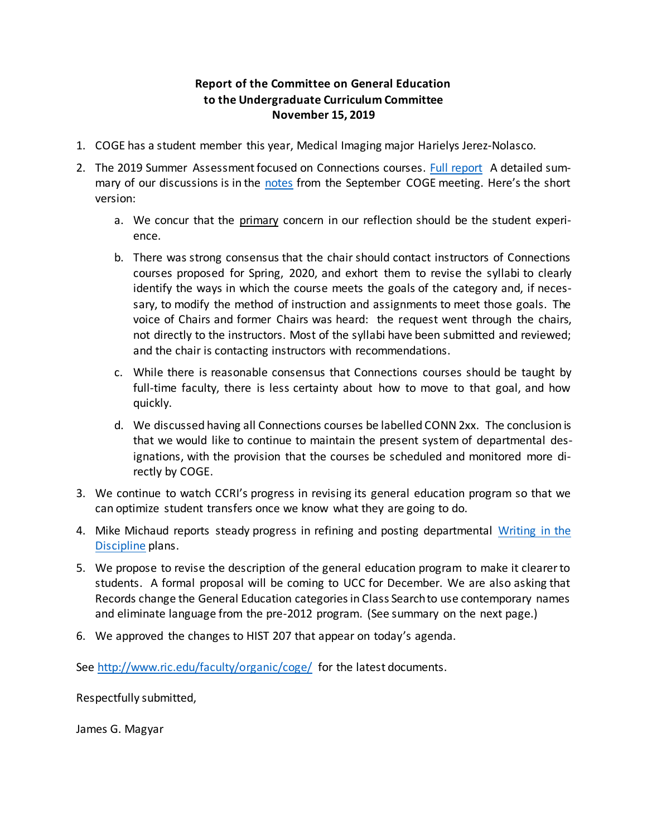## **Report of the Committee on General Education to the Undergraduate Curriculum Committee November 15, 2019**

- 1. COGE has a student member this year, Medical Imaging major Harielys Jerez-Nolasco.
- 2. The 2019 Summer Assessment focused on Connections courses. [Full report](http://www.ric.edu/faculty/organic/coge/Report-summer-2019-assessment-project.pdf) A detailed summary of our discussions is in the [notes](http://www.ric.edu/faculty/organic/coge/report9-10-19.pdf) from the September COGE meeting. Here's the short version:
	- a. We concur that the primary concern in our reflection should be the student experience.
	- b. There was strong consensus that the chair should contact instructors of Connections courses proposed for Spring, 2020, and exhort them to revise the syllabi to clearly identify the ways in which the course meets the goals of the category and, if necessary, to modify the method of instruction and assignments to meet those goals. The voice of Chairs and former Chairs was heard: the request went through the chairs, not directly to the instructors. Most of the syllabi have been submitted and reviewed; and the chair is contacting instructors with recommendations.
	- c. While there is reasonable consensus that Connections courses should be taught by full-time faculty, there is less certainty about how to move to that goal, and how quickly.
	- d. We discussed having all Connections courses be labelled CONN 2xx. The conclusion is that we would like to continue to maintain the present system of departmental designations, with the provision that the courses be scheduled and monitored more directly by COGE.
- 3. We continue to watch CCRI's progress in revising its general education program so that we can optimize student transfers once we know what they are going to do.
- 4. Mike Michaud reports steady progress in refining and posting departmental Writing in the [Discipline](http://www.ric.edu/faculty/organic/coge/Report%20on%20Writing%20in%20the%20Discipline%208-28-19.pdf) plans.
- 5. We propose to revise the description of the general education program to make it clearer to students. A formal proposal will be coming to UCC for December. We are also asking that Records change the General Education categories in Class Search to use contemporary names and eliminate language from the pre-2012 program. (See summary on the next page.)
- 6. We approved the changes to HIST 207 that appear on today's agenda.

See<http://www.ric.edu/faculty/organic/coge/> for the latest documents.

Respectfully submitted,

James G. Magyar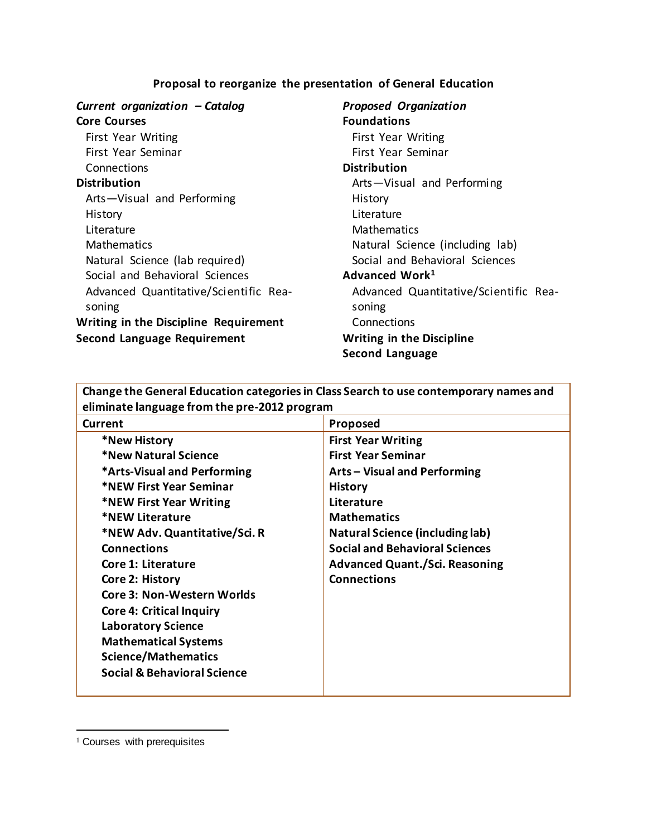## **Proposal to reorganize the presentation of General Education**

| Current organization - Catalog               |  |  |  |
|----------------------------------------------|--|--|--|
| <b>Core Courses</b>                          |  |  |  |
| First Year Writing                           |  |  |  |
| First Year Seminar                           |  |  |  |
| Connections                                  |  |  |  |
| <b>Distribution</b>                          |  |  |  |
| Arts-Visual and Performing                   |  |  |  |
| History                                      |  |  |  |
| Literature                                   |  |  |  |
| Mathematics                                  |  |  |  |
| Natural Science (lab required)               |  |  |  |
| Social and Behavioral Sciences               |  |  |  |
| Advanced Quantitative/Scientific Rea-        |  |  |  |
| soning                                       |  |  |  |
| <b>Writing in the Discipline Requirement</b> |  |  |  |
| <b>Second Language Requirement</b>           |  |  |  |

## *Proposed Organization* **Foundations** First Year Writing First Year Seminar **Distribution** Arts—Visual and Performing History Literature **Mathematics** Natural Science (including lab) Social and Behavioral Sciences **Advanced Work<sup>1</sup>** Advanced Quantitative/Scientific Reasoning **Connections Writing in the Discipline Second Language**

| Change the General Education categories in Class Search to use contemporary names and |                                        |  |  |  |
|---------------------------------------------------------------------------------------|----------------------------------------|--|--|--|
| eliminate language from the pre-2012 program                                          |                                        |  |  |  |
| Current                                                                               | Proposed                               |  |  |  |
| *New History                                                                          | <b>First Year Writing</b>              |  |  |  |
| *New Natural Science                                                                  | <b>First Year Seminar</b>              |  |  |  |
| *Arts-Visual and Performing                                                           | Arts - Visual and Performing           |  |  |  |
| *NEW First Year Seminar                                                               | <b>History</b>                         |  |  |  |
| *NEW First Year Writing                                                               | Literature                             |  |  |  |
| *NEW Literature                                                                       | <b>Mathematics</b>                     |  |  |  |
| *NEW Adv. Quantitative/Sci. R                                                         | <b>Natural Science (including lab)</b> |  |  |  |
| <b>Connections</b>                                                                    | <b>Social and Behavioral Sciences</b>  |  |  |  |
| Core 1: Literature                                                                    | <b>Advanced Quant./Sci. Reasoning</b>  |  |  |  |
| Core 2: History                                                                       | <b>Connections</b>                     |  |  |  |
| <b>Core 3: Non-Western Worlds</b>                                                     |                                        |  |  |  |
| <b>Core 4: Critical Inquiry</b>                                                       |                                        |  |  |  |
| <b>Laboratory Science</b>                                                             |                                        |  |  |  |
| <b>Mathematical Systems</b>                                                           |                                        |  |  |  |
| <b>Science/Mathematics</b>                                                            |                                        |  |  |  |
| <b>Social &amp; Behavioral Science</b>                                                |                                        |  |  |  |
|                                                                                       |                                        |  |  |  |

**Change the General Education categories in Class Search to use contemporary names and** 

l

<sup>&</sup>lt;sup>1</sup> Courses with prerequisites